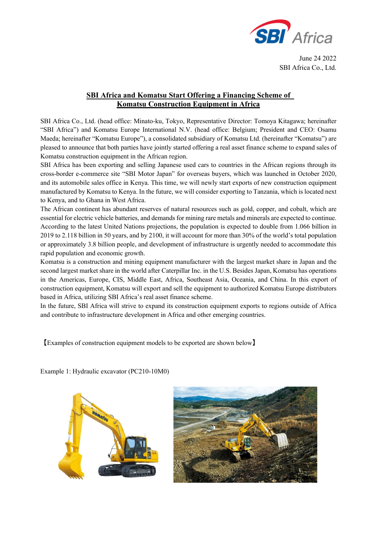

June 24 2022 SBI Africa Co., Ltd.

## **SBI Africa and Komatsu Start Offering a Financing Scheme of Komatsu Construction Equipment in Africa**

SBI Africa Co., Ltd. (head office: Minato-ku, Tokyo, Representative Director: Tomoya Kitagawa; hereinafter "SBI Africa") and Komatsu Europe International N.V. (head office: Belgium; President and CEO: Osamu Maeda; hereinafter "Komatsu Europe"), a consolidated subsidiary of Komatsu Ltd. (hereinafter "Komatsu") are pleased to announce that both parties have jointly started offering a real asset finance scheme to expand sales of Komatsu construction equipment in the African region.

SBI Africa has been exporting and selling Japanese used cars to countries in the African regions through its cross-border e-commerce site "SBI Motor Japan" for overseas buyers, which was launched in October 2020, and its automobile sales office in Kenya. This time, we will newly start exports of new construction equipment manufactured by Komatsu to Kenya. In the future, we will consider exporting to Tanzania, which is located next to Kenya, and to Ghana in West Africa.

The African continent has abundant reserves of natural resources such as gold, copper, and cobalt, which are essential for electric vehicle batteries, and demands for mining rare metals and minerals are expected to continue. According to the latest United Nations projections, the population is expected to double from 1.066 billion in 2019 to 2.118 billion in 50 years, and by 2100, it will account for more than 30% of the world's total population or approximately 3.8 billion people, and development of infrastructure is urgently needed to accommodate this rapid population and economic growth.

Komatsu is a construction and mining equipment manufacturer with the largest market share in Japan and the second largest market share in the world after Caterpillar Inc. in the U.S. Besides Japan, Komatsu has operations in the Americas, Europe, CIS, Middle East, Africa, Southeast Asia, Oceania, and China. In this export of construction equipment, Komatsu will export and sell the equipment to authorized Komatsu Europe distributors based in Africa, utilizing SBI Africa's real asset finance scheme.

In the future, SBI Africa will strive to expand its construction equipment exports to regions outside of Africa and contribute to infrastructure development in Africa and other emerging countries.

【Examples of construction equipment models to be exported are shown below】



Example 1: Hydraulic excavator (PC210-10M0)